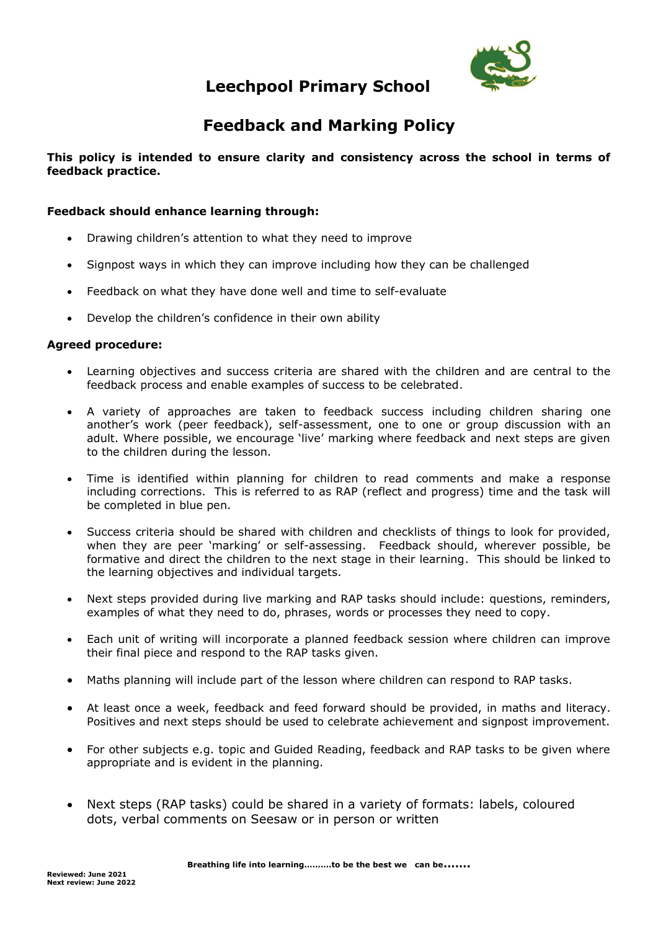

# **Leechpool Primary School**

# **Feedback and Marking Policy**

### **This policy is intended to ensure clarity and consistency across the school in terms of feedback practice.**

### **Feedback should enhance learning through:**

- Drawing children's attention to what they need to improve
- Signpost ways in which they can improve including how they can be challenged
- Feedback on what they have done well and time to self-evaluate
- Develop the children's confidence in their own ability

### **Agreed procedure:**

- Learning objectives and success criteria are shared with the children and are central to the feedback process and enable examples of success to be celebrated.
- A variety of approaches are taken to feedback success including children sharing one another's work (peer feedback), self-assessment, one to one or group discussion with an adult. Where possible, we encourage 'live' marking where feedback and next steps are given to the children during the lesson.
- Time is identified within planning for children to read comments and make a response including corrections. This is referred to as RAP (reflect and progress) time and the task will be completed in blue pen.
- Success criteria should be shared with children and checklists of things to look for provided, when they are peer 'marking' or self-assessing. Feedback should, wherever possible, be formative and direct the children to the next stage in their learning. This should be linked to the learning objectives and individual targets.
- Next steps provided during live marking and RAP tasks should include: questions, reminders, examples of what they need to do, phrases, words or processes they need to copy.
- Each unit of writing will incorporate a planned feedback session where children can improve their final piece and respond to the RAP tasks given.
- Maths planning will include part of the lesson where children can respond to RAP tasks.
- At least once a week, feedback and feed forward should be provided, in maths and literacy. Positives and next steps should be used to celebrate achievement and signpost improvement.
- For other subjects e.g. topic and Guided Reading, feedback and RAP tasks to be given where appropriate and is evident in the planning.
- Next steps (RAP tasks) could be shared in a variety of formats: labels, coloured dots, verbal comments on Seesaw or in person or written